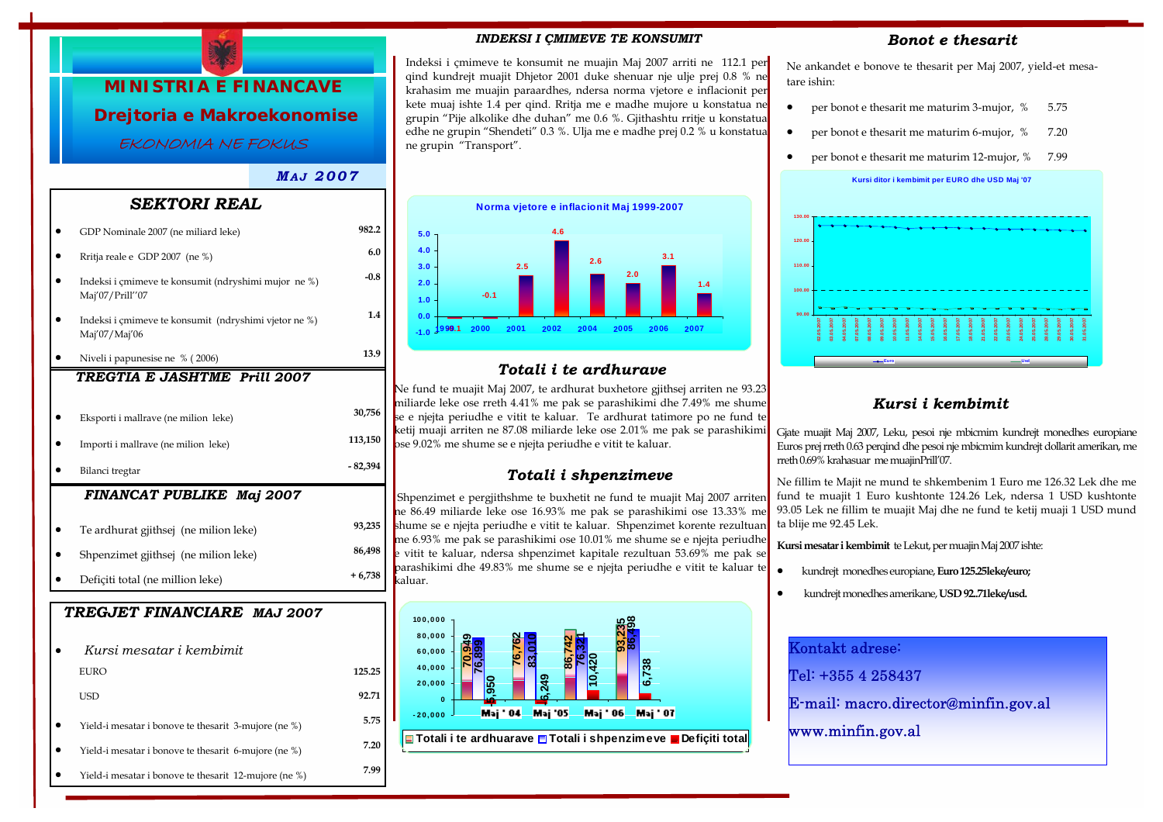

#### Indeksi i çmimeve te konsumit ne muajin Maj 2007 arriti ne 112.1 per qind kundrejt muajit Dhjetor 2001 duke shenuar nje ulje prej 0.8 % ne krahasim me muajin paraardhes, ndersa norma vjetore e inflacionit per kete muaj ishte 1.4 per qind. Rritja me e madhe mujore u konstatua ne grupin "Pije alkolike dhe duhan" me 0.6 %. Gjithashtu rritje u konstatua edhe ne grupin "Shendeti" 0.3 %. Ulja me e madhe prej 0.2 % u konstatua ne grupin "Transport".

*INDEKSI I ÇMIMEVE TE KONSUMIT* 

#### *Bonot e thesarit*

Ne ankandet e bonove te thesarit per Maj 2007, yield-et mesatare ishin:

- per bonot e thesarit me maturim 3-mujor,  $%$  5.75
- per bonot e thesarit me maturim 6-mujor, % 7.20
- per bonot e thesarit me maturim 12-mujor, % 7.99





#### *Kursi i kembimit*

Gjate muajit Maj 2007, Leku, pesoi nje mbicmim kundrejt monedhes europiane Euros prej rreth 0.63 perqind dhe pesoi nje mbicmim kundrejt dollarit amerikan, me rreth 0.69% krahasuar me muajinPrill'07.

Ne fillim te Majit ne mund te shkembenim 1 Euro me 126.32 Lek dhe me fund te muajit 1 Euro kushtonte 124.26 Lek, ndersa 1 USD kushtonte 93.05 Lek ne fillim te muajit Maj dhe ne fund te ketij muaji 1 USD mund ta blije me 92.45 Lek.

**Kursi mesatar i kembimit** te Lekut, per muajin Maj 2007 ishte:

- kundrejt monedhes europiane, **Euro 125.25leke/euro;**
- kundrejt monedhes amerikane, **USD 92..71leke/usd.**



| GDP Nominale 2007 (ne miliard leke)                                     | 982.2    |
|-------------------------------------------------------------------------|----------|
| Rritja reale e GDP 2007 (ne %)                                          | 6.0      |
| Indeksi i çmimeve te konsumit (ndryshimi mujor ne %)<br>Maj'07/Prill"07 | $-0.8$   |
| Indeksi i çmimeve te konsumit (ndryshimi vjetor ne %)<br>Maj'07/Maj'06  | 1.4      |
| Niveli i papunesise ne % (2006)                                         | 13.9     |
| TREGTIA E JASHTME Prill 2007                                            |          |
| Eksporti i mallrave (ne milion leke)                                    | 30,756   |
| Importi i mallrave (ne milion leke)                                     | 113,150  |
| Bilanci tregtar                                                         | - 82,394 |
| <b>FINANCAT PUBLIKE Maj 2007</b>                                        |          |
| Te ardhurat gjithsej (ne milion leke)                                   | 93,235   |
| Shpenzimet gjithsej (ne milion leke)                                    | 86,498   |
| Deficiti total (ne million leke)                                        | $+6,738$ |
| TREGJET FINANCIARE MAJ 2007                                             |          |
| Kursi mesatar i kembimit                                                |          |
| <b>EURO</b>                                                             | 125.25   |
| <b>USD</b>                                                              | 92.71    |
| Yield-i mesatar i bonove te thesarit 3-mujore (ne %)                    | 5.75     |
| Yield-i mesatar i bonove te thesarit 6-mujore (ne %)                    | 7.20     |
| Yield-i mesatar i bonove te thesarit 12-mujore (ne %)                   | 7.99     |



# *Totali i te ardhurave*

Ne fund te muajit Maj 2007, te ardhurat buxhetore gjithsej arriten ne 93.23 miliarde leke ose rreth 4.41% me pak se parashikimi dhe 7.49% me shume se e njejta periudhe e vitit te kaluar. Te ardhurat tatimore po ne fund te ketij muaji arriten ne 87.08 miliarde leke ose 2.01% me pak se parashikimi ose 9.02% me shume se e njejta periudhe e vitit te kaluar.

### *Totali i shpenzimeve*

Shpenzimet e pergjithshme te buxhetit ne fund te muajit Maj 2007 arriten ne 86.49 miliarde leke ose 16.93% me pak se parashikimi ose 13.33% me shume se e njejta periudhe e vitit te kaluar. Shpenzimet korente rezultuan me 6.93% me pak se parashikimi ose 10.01% me shume se e njejta periudhe e vitit te kaluar, ndersa shpenzimet kapitale rezultuan 53.69% me pak se parashikimi dhe 49.83% me shume se e njejta periudhe e vitit te kaluar te kaluar.